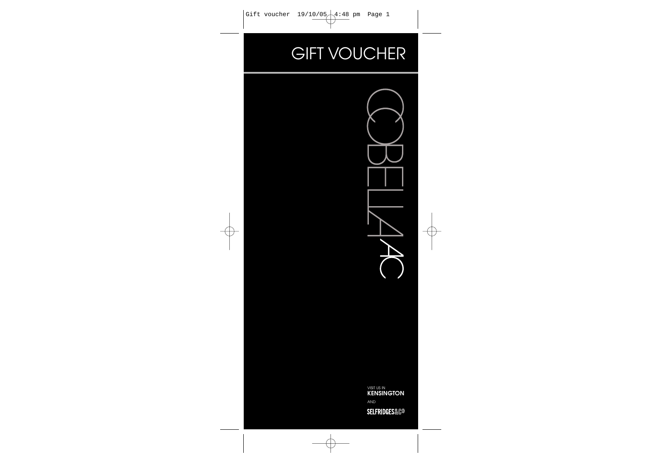## **GIFT VOUCHER**



VISIT US IN **KENSINGTON** AND

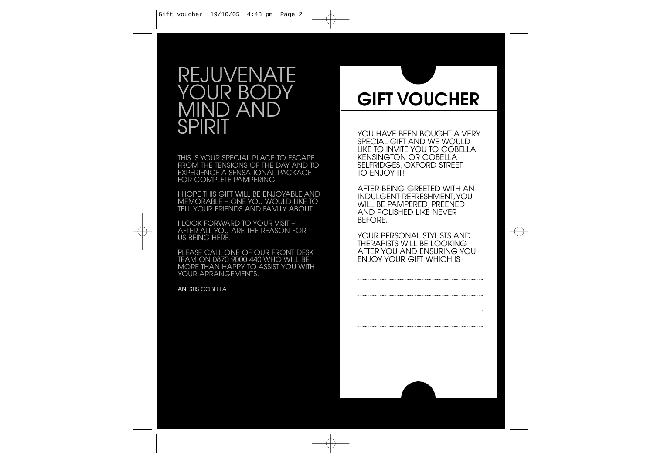### REJUVENATE YOUR BODY MIND AND **SPIRIT**

THIS IS YOUR SPECIAL PLACE TO ESCAPE FROM THE TENSIONS OF THE DAY AND TO EXPERIENCE A SENSATIONAL PACKAGE FOR COMPLETE PAMPERING.

I HOPE THIS GIFT WILL BE ENJOYABLE AND MEMORABLE – ONE YOU WOULD LIKE TO TELL YOUR FRIENDS AND FAMILY ABOUT.

I LOOK FORWARD TO YOUR VISIT – AFTER ALL YOU ARE THE REASON FOR US BEING HERE.

PLEASE CALL ONE OF OUR FRONT DESK TEAM ON 0870 9000 440 WHO WILL BE MORE THAN HAPPY TO ASSIST YOU WITH YOUR ARRANGEMENTS.

ANESTIS COBELLA

# **GIFT VOUCHER**

YOU HAVE BEEN BOUGHT A VERY SPECIAL GIFT AND WE WOULD LIKE TO INVITE YOU TO COBELLA KENSINGTON OR COBELLA SELFRIDGES, OXFORD STREET TO FNJOY ITI

AFTER BEING GREETED WITH AN INDULGENT REFRESHMENT,YOU WILL BE PAMPERED, PREENED AND POLISHED LIKE NEVER BEFORE.

YOUR PERSONAL STYLISTS AND THERAPISTS WILL BE LOOKING AFTER YOU AND ENSURING YOU ENJOY YOUR GIFT WHICH IS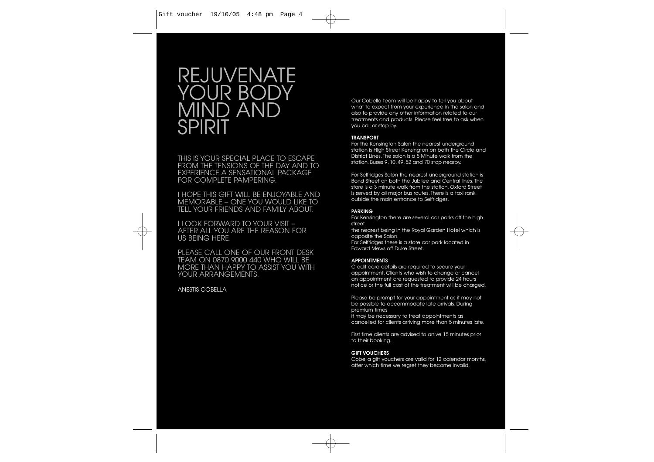### REJUVENATE YOUR BODY MIND AND SPIRIT

THIS IS YOUR SPECIAL PLACE TO ESCAPE FROM THE TENSIONS OF THE DAY AND TO EXPERIENCE A SENSATIONAL PACKAGE FOR COMPLETE PAMPERING.

I HOPE THIS GIFT WILL BE ENJOYABLE AND MEMORABLE – ONE YOU WOULD LIKE TO TELL YOUR FRIENDS AND FAMILY ABOUT.

I LOOK FORWARD TO YOUR VISIT – AFTER ALL YOU ARE THE REASON FOR US BEING HERE.

PLEASE CALL ONE OF OUR FRONT DESK TEAM ON 0870 9000 440 WHO WILL BE MORE THAN HAPPY TO ASSIST YOU WITH YOUR ARRANGEMENTS.

#### ANESTIS COBELLA

Our Cobella team will be happy to tell you about what to expect from your experience in the salon and also to provide any other information related to our treatments and products. Please feel free to ask when you call or stop by.

#### **TRANSPORT**

For the Kensinaton Salon the nearest underground station is High Street Kensington on both the Circle and District Lines. The salon is a 5 Minute walk from the station. Buses 9, 10, 49, 52 and 70 stop nearby.

For Selfridges Salon the nearest underground station is Bond Street on both the Jubilee and Central lines. The store is a 3 minute walk from the station. Oxford Street is served by all major bus routes. There is a taxi rank outside the main entrance to Selfridges.

#### **PARKING**

For Kensington there are several car parks off the high street

the nearest being in the Royal Garden Hotel which is opposite the Salon.

For Selfridges there is a store car park located in Edward Mews off Duke Street.

#### **APPOINTMENTS**

Credit card details are required to secure your appointment. Clients who wish to change or cancel an appointment are requested to provide 24 hours notice or the full cost of the treatment will be charged.

Please be prompt for your appointment as it may not be possible to accommodate late arrivals. During premium times

it may be necessary to treat appointments as cancelled for clients arriving more than 5 minutes late.

First time clients are advised to arrive 15 minutes prior to their booking.

#### **GIFT VOUCHERS**

Cobella gift vouchers are valid for 12 calendar months, after which time we regret they become invalid.